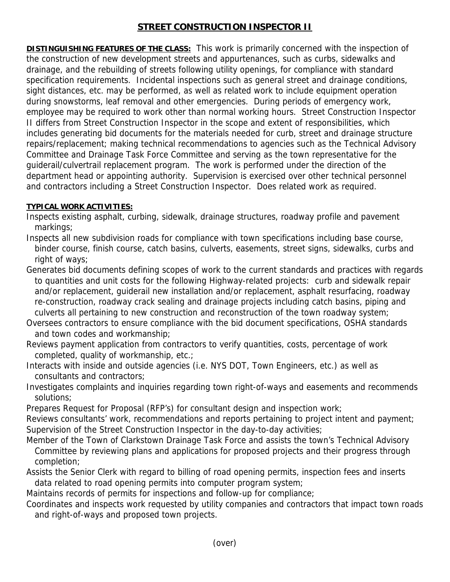## **STREET CONSTRUCTION INSPECTOR II**

**DISTINGUISHING FEATURES OF THE CLASS:** This work is primarily concerned with the inspection of the construction of new development streets and appurtenances, such as curbs, sidewalks and drainage, and the rebuilding of streets following utility openings, for compliance with standard specification requirements. Incidental inspections such as general street and drainage conditions, sight distances, etc. may be performed, as well as related work to include equipment operation during snowstorms, leaf removal and other emergencies. During periods of emergency work, employee may be required to work other than normal working hours. Street Construction Inspector II differs from Street Construction Inspector in the scope and extent of responsibilities, which includes generating bid documents for the materials needed for curb, street and drainage structure repairs/replacement; making technical recommendations to agencies such as the Technical Advisory Committee and Drainage Task Force Committee and serving as the town representative for the guiderail/culvertrail replacement program. The work is performed under the direction of the department head or appointing authority. Supervision is exercised over other technical personnel and contractors including a Street Construction Inspector. Does related work as required.

## **TYPICAL WORK ACTIVITIES:**

- Inspects existing asphalt, curbing, sidewalk, drainage structures, roadway profile and pavement markings;
- Inspects all new subdivision roads for compliance with town specifications including base course, binder course, finish course, catch basins, culverts, easements, street signs, sidewalks, curbs and right of ways;
- Generates bid documents defining scopes of work to the current standards and practices with regards to quantities and unit costs for the following Highway-related projects: curb and sidewalk repair and/or replacement, guiderail new installation and/or replacement, asphalt resurfacing, roadway re-construction, roadway crack sealing and drainage projects including catch basins, piping and culverts all pertaining to new construction and reconstruction of the town roadway system;
- Oversees contractors to ensure compliance with the bid document specifications, OSHA standards and town codes and workmanship;
- Reviews payment application from contractors to verify quantities, costs, percentage of work completed, quality of workmanship, etc.;
- Interacts with inside and outside agencies (i.e. NYS DOT, Town Engineers, etc.) as well as consultants and contractors;
- Investigates complaints and inquiries regarding town right-of-ways and easements and recommends solutions;
- Prepares Request for Proposal (RFP's) for consultant design and inspection work;
- Reviews consultants' work, recommendations and reports pertaining to project intent and payment; Supervision of the Street Construction Inspector in the day-to-day activities;
- Member of the Town of Clarkstown Drainage Task Force and assists the town's Technical Advisory Committee by reviewing plans and applications for proposed projects and their progress through completion;
- Assists the Senior Clerk with regard to billing of road opening permits, inspection fees and inserts data related to road opening permits into computer program system;
- Maintains records of permits for inspections and follow-up for compliance;
- Coordinates and inspects work requested by utility companies and contractors that impact town roads and right-of-ways and proposed town projects.